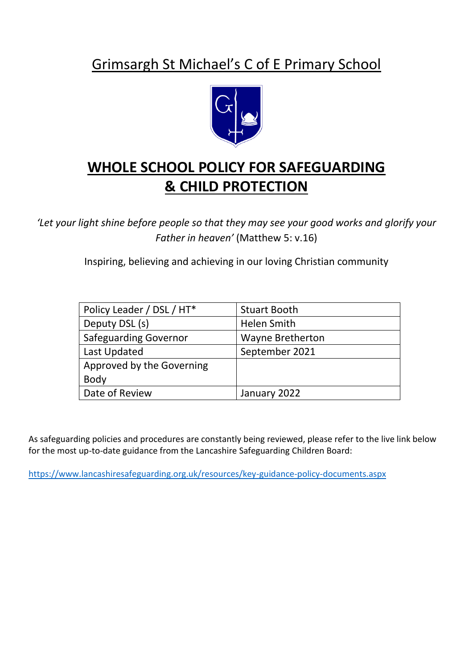## Grimsargh St Michael's C of E Primary School



## **WHOLE SCHOOL POLICY FOR SAFEGUARDING & CHILD PROTECTION**

*'Let your light shine before people so that they may see your good works and glorify your Father in heaven'* (Matthew 5: v.16)

Inspiring, believing and achieving in our loving Christian community

| Policy Leader / DSL / HT*    | <b>Stuart Booth</b>     |
|------------------------------|-------------------------|
| Deputy DSL (s)               | Helen Smith             |
| <b>Safeguarding Governor</b> | <b>Wayne Bretherton</b> |
| Last Updated                 | September 2021          |
| Approved by the Governing    |                         |
| <b>Body</b>                  |                         |
| Date of Review               | January 2022            |

As safeguarding policies and procedures are constantly being reviewed, please refer to the live link below for the most up-to-date guidance from the Lancashire Safeguarding Children Board:

<https://www.lancashiresafeguarding.org.uk/resources/key-guidance-policy-documents.aspx>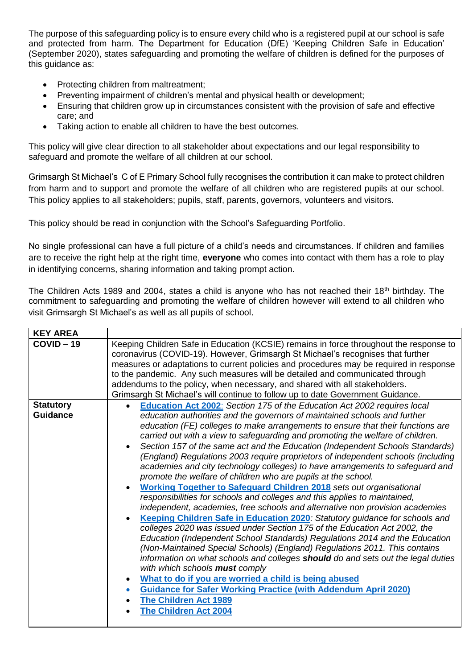The purpose of this safeguarding policy is to ensure every child who is a registered pupil at our school is safe and protected from harm. The Department for Education (DfE) 'Keeping Children Safe in Education' (September 2020), states safeguarding and promoting the welfare of children is defined for the purposes of this guidance as:

- Protecting children from maltreatment;
- Preventing impairment of children's mental and physical health or development;
- Ensuring that children grow up in circumstances consistent with the provision of safe and effective care; and
- Taking action to enable all children to have the best outcomes.

This policy will give clear direction to all stakeholder about expectations and our legal responsibility to safeguard and promote the welfare of all children at our school.

Grimsargh St Michael's C of E Primary School fully recognises the contribution it can make to protect children from harm and to support and promote the welfare of all children who are registered pupils at our school. This policy applies to all stakeholders; pupils, staff, parents, governors, volunteers and visitors.

This policy should be read in conjunction with the School's Safeguarding Portfolio.

No single professional can have a full picture of a child's needs and circumstances. If children and families are to receive the right help at the right time, **everyone** who comes into contact with them has a role to play in identifying concerns, sharing information and taking prompt action.

The Children Acts 1989 and 2004, states a child is anyone who has not reached their 18<sup>th</sup> birthday. The commitment to safeguarding and promoting the welfare of children however will extend to all children who visit Grimsargh St Michael's as well as all pupils of school.

| <b>KEY AREA</b>                     |                                                                                                                                                                                                                                                                                                                                                                                                                                                                                                                                                                                                                                                                                                                                                                                                                                                                                                                                                                                                                                                                                                                                                                                                                                                                                                                                                                                                                                                                                                                                                            |
|-------------------------------------|------------------------------------------------------------------------------------------------------------------------------------------------------------------------------------------------------------------------------------------------------------------------------------------------------------------------------------------------------------------------------------------------------------------------------------------------------------------------------------------------------------------------------------------------------------------------------------------------------------------------------------------------------------------------------------------------------------------------------------------------------------------------------------------------------------------------------------------------------------------------------------------------------------------------------------------------------------------------------------------------------------------------------------------------------------------------------------------------------------------------------------------------------------------------------------------------------------------------------------------------------------------------------------------------------------------------------------------------------------------------------------------------------------------------------------------------------------------------------------------------------------------------------------------------------------|
| $COVID - 19$                        | Keeping Children Safe in Education (KCSIE) remains in force throughout the response to<br>coronavirus (COVID-19). However, Grimsargh St Michael's recognises that further<br>measures or adaptations to current policies and procedures may be required in response<br>to the pandemic. Any such measures will be detailed and communicated through<br>addendums to the policy, when necessary, and shared with all stakeholders.<br>Grimsargh St Michael's will continue to follow up to date Government Guidance.                                                                                                                                                                                                                                                                                                                                                                                                                                                                                                                                                                                                                                                                                                                                                                                                                                                                                                                                                                                                                                        |
| <b>Statutory</b><br><b>Guidance</b> | Education Act 2002: Section 175 of the Education Act 2002 requires local<br>$\bullet$<br>education authorities and the governors of maintained schools and further<br>education (FE) colleges to make arrangements to ensure that their functions are<br>carried out with a view to safeguarding and promoting the welfare of children.<br>Section 157 of the same act and the Education (Independent Schools Standards)<br>(England) Regulations 2003 require proprietors of independent schools (including<br>academies and city technology colleges) to have arrangements to safeguard and<br>promote the welfare of children who are pupils at the school.<br><b>Working Together to Safeguard Children 2018</b> sets out organisational<br>responsibilities for schools and colleges and this applies to maintained,<br>independent, academies, free schools and alternative non provision academies<br>Keeping Children Safe in Education 2020: Statutory guidance for schools and<br>colleges 2020 was issued under Section 175 of the Education Act 2002, the<br>Education (Independent School Standards) Regulations 2014 and the Education<br>(Non-Maintained Special Schools) (England) Regulations 2011. This contains<br>information on what schools and colleges should do and sets out the legal duties<br>with which schools must comply<br>What to do if you are worried a child is being abused<br><b>Guidance for Safer Working Practice (with Addendum April 2020)</b><br><b>The Children Act 1989</b><br><b>The Children Act 2004</b> |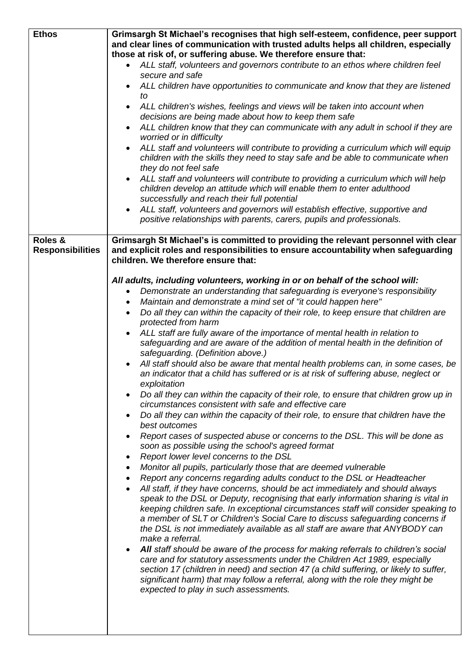| <b>Ethos</b>            | Grimsargh St Michael's recognises that high self-esteem, confidence, peer support                |
|-------------------------|--------------------------------------------------------------------------------------------------|
|                         | and clear lines of communication with trusted adults helps all children, especially              |
|                         | those at risk of, or suffering abuse. We therefore ensure that:                                  |
|                         | ALL staff, volunteers and governors contribute to an ethos where children feel                   |
|                         | secure and safe                                                                                  |
|                         | ALL children have opportunities to communicate and know that they are listened                   |
|                         | to                                                                                               |
|                         | ALL children's wishes, feelings and views will be taken into account when<br>$\bullet$           |
|                         | decisions are being made about how to keep them safe                                             |
|                         | ALL children know that they can communicate with any adult in school if they are<br>$\bullet$    |
|                         | worried or in difficulty                                                                         |
|                         | ALL staff and volunteers will contribute to providing a curriculum which will equip              |
|                         | children with the skills they need to stay safe and be able to communicate when                  |
|                         |                                                                                                  |
|                         | they do not feel safe                                                                            |
|                         | ALL staff and volunteers will contribute to providing a curriculum which will help               |
|                         | children develop an attitude which will enable them to enter adulthood                           |
|                         | successfully and reach their full potential                                                      |
|                         | ALL staff, volunteers and governors will establish effective, supportive and                     |
|                         | positive relationships with parents, carers, pupils and professionals.                           |
|                         |                                                                                                  |
| Roles &                 | Grimsargh St Michael's is committed to providing the relevant personnel with clear               |
| <b>Responsibilities</b> | and explicit roles and responsibilities to ensure accountability when safeguarding               |
|                         | children. We therefore ensure that:                                                              |
|                         |                                                                                                  |
|                         | All adults, including volunteers, working in or on behalf of the school will:                    |
|                         | Demonstrate an understanding that safeguarding is everyone's responsibility                      |
|                         | Maintain and demonstrate a mind set of "it could happen here"<br>$\bullet$                       |
|                         | Do all they can within the capacity of their role, to keep ensure that children are<br>$\bullet$ |
|                         | protected from harm                                                                              |
|                         | ALL staff are fully aware of the importance of mental health in relation to                      |
|                         | safeguarding and are aware of the addition of mental health in the definition of                 |
|                         | safeguarding. (Definition above.)                                                                |
|                         | All staff should also be aware that mental health problems can, in some cases, be                |
|                         | an indicator that a child has suffered or is at risk of suffering abuse, neglect or              |
|                         | exploitation                                                                                     |
|                         | Do all they can within the capacity of their role, to ensure that children grow up in            |
|                         | circumstances consistent with safe and effective care                                            |
|                         | Do all they can within the capacity of their role, to ensure that children have the              |
|                         | $\bullet$<br>best outcomes                                                                       |
|                         |                                                                                                  |
|                         | Report cases of suspected abuse or concerns to the DSL. This will be done as                     |
|                         | soon as possible using the school's agreed format                                                |
|                         | Report lower level concerns to the DSL<br>٠                                                      |
|                         | Monitor all pupils, particularly those that are deemed vulnerable<br>٠                           |
|                         | Report any concerns regarding adults conduct to the DSL or Headteacher<br>$\bullet$              |
|                         | All staff, if they have concerns, should be act immediately and should always<br>$\bullet$       |
|                         | speak to the DSL or Deputy, recognising that early information sharing is vital in               |
|                         | keeping children safe. In exceptional circumstances staff will consider speaking to              |
|                         | a member of SLT or Children's Social Care to discuss safeguarding concerns if                    |
|                         | the DSL is not immediately available as all staff are aware that ANYBODY can                     |
|                         | make a referral.                                                                                 |
|                         | All staff should be aware of the process for making referrals to children's social               |
|                         | care and for statutory assessments under the Children Act 1989, especially                       |
|                         | section 17 (children in need) and section 47 (a child suffering, or likely to suffer,            |
|                         | significant harm) that may follow a referral, along with the role they might be                  |
|                         | expected to play in such assessments.                                                            |
|                         |                                                                                                  |
|                         |                                                                                                  |
|                         |                                                                                                  |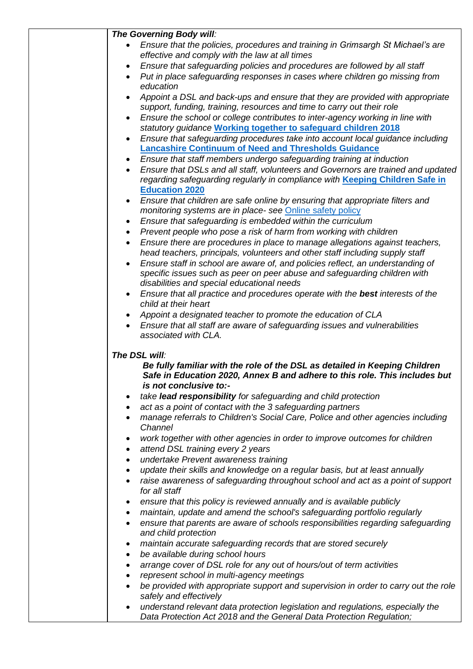| The Governing Body will:                                                                                                                                                                  |
|-------------------------------------------------------------------------------------------------------------------------------------------------------------------------------------------|
| Ensure that the policies, procedures and training in Grimsargh St Michael's are<br>effective and comply with the law at all times                                                         |
| Ensure that safeguarding policies and procedures are followed by all staff                                                                                                                |
| Put in place safeguarding responses in cases where children go missing from<br>education                                                                                                  |
| Appoint a DSL and back-ups and ensure that they are provided with appropriate                                                                                                             |
| support, funding, training, resources and time to carry out their role<br>Ensure the school or college contributes to inter-agency working in line with                                   |
| statutory guidance Working together to safeguard children 2018                                                                                                                            |
| Ensure that safeguarding procedures take into account local guidance including<br>$\bullet$<br><b>Lancashire Continuum of Need and Thresholds Guidance</b>                                |
| Ensure that staff members undergo safeguarding training at induction                                                                                                                      |
| Ensure that DSLs and all staff, volunteers and Governors are trained and updated<br>regarding safeguarding regularly in compliance with Keeping Children Safe in<br><b>Education 2020</b> |
| Ensure that children are safe online by ensuring that appropriate filters and<br>$\bullet$                                                                                                |
| monitoring systems are in place- see Online safety policy                                                                                                                                 |
| Ensure that safeguarding is embedded within the curriculum<br>٠                                                                                                                           |
| Prevent people who pose a risk of harm from working with children<br>$\bullet$                                                                                                            |
| Ensure there are procedures in place to manage allegations against teachers,<br>$\bullet$<br>head teachers, principals, volunteers and other staff including supply staff                 |
| Ensure staff in school are aware of, and policies reflect, an understanding of                                                                                                            |
| specific issues such as peer on peer abuse and safeguarding children with<br>disabilities and special educational needs                                                                   |
| Ensure that all practice and procedures operate with the best interests of the<br>child at their heart                                                                                    |
| Appoint a designated teacher to promote the education of CLA<br>$\bullet$                                                                                                                 |
| Ensure that all staff are aware of safeguarding issues and vulnerabilities                                                                                                                |
| associated with CLA.                                                                                                                                                                      |
| The DSL will:                                                                                                                                                                             |
| Be fully familiar with the role of the DSL as detailed in Keeping Children<br>Safe in Education 2020, Annex B and adhere to this role. This includes but<br>is not conclusive to:-        |
| take lead responsibility for safeguarding and child protection                                                                                                                            |
| act as a point of contact with the 3 safeguarding partners<br>٠                                                                                                                           |
| manage referrals to Children's Social Care, Police and other agencies including<br>٠<br>Channel                                                                                           |
| work together with other agencies in order to improve outcomes for children                                                                                                               |
| attend DSL training every 2 years<br>٠                                                                                                                                                    |
| undertake Prevent awareness training<br>٠                                                                                                                                                 |
| update their skills and knowledge on a regular basis, but at least annually                                                                                                               |
| raise awareness of safeguarding throughout school and act as a point of support<br>for all staff                                                                                          |
| ensure that this policy is reviewed annually and is available publicly<br>٠                                                                                                               |
| maintain, update and amend the school's safeguarding portfolio regularly<br>٠                                                                                                             |
| ensure that parents are aware of schools responsibilities regarding safeguarding<br>٠<br>and child protection                                                                             |
| maintain accurate safeguarding records that are stored securely<br>٠                                                                                                                      |
| be available during school hours<br>٠                                                                                                                                                     |
| arrange cover of DSL role for any out of hours/out of term activities<br>٠                                                                                                                |
| represent school in multi-agency meetings<br>٠                                                                                                                                            |
| be provided with appropriate support and supervision in order to carry out the role<br>safely and effectively                                                                             |
| understand relevant data protection legislation and regulations, especially the                                                                                                           |
| Data Protection Act 2018 and the General Data Protection Regulation;                                                                                                                      |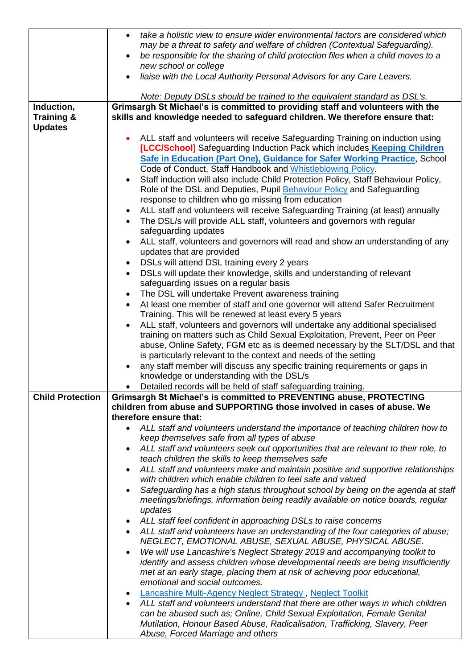|                                                       | take a holistic view to ensure wider environmental factors are considered which<br>$\bullet$<br>may be a threat to safety and welfare of children (Contextual Safeguarding).<br>be responsible for the sharing of child protection files when a child moves to a<br>new school or college<br>liaise with the Local Authority Personal Advisors for any Care Leavers.<br>$\bullet$                                                                                                                                                                                                                                                                                                                                                                                                                                                                                                                                                                                                                                                                                                                                                                                                                                                                                                                                                                                                                                                                                                                                                                                                                                                                                      |
|-------------------------------------------------------|------------------------------------------------------------------------------------------------------------------------------------------------------------------------------------------------------------------------------------------------------------------------------------------------------------------------------------------------------------------------------------------------------------------------------------------------------------------------------------------------------------------------------------------------------------------------------------------------------------------------------------------------------------------------------------------------------------------------------------------------------------------------------------------------------------------------------------------------------------------------------------------------------------------------------------------------------------------------------------------------------------------------------------------------------------------------------------------------------------------------------------------------------------------------------------------------------------------------------------------------------------------------------------------------------------------------------------------------------------------------------------------------------------------------------------------------------------------------------------------------------------------------------------------------------------------------------------------------------------------------------------------------------------------------|
|                                                       | Note: Deputy DSLs should be trained to the equivalent standard as DSL's.                                                                                                                                                                                                                                                                                                                                                                                                                                                                                                                                                                                                                                                                                                                                                                                                                                                                                                                                                                                                                                                                                                                                                                                                                                                                                                                                                                                                                                                                                                                                                                                               |
| Induction,<br><b>Training &amp;</b><br><b>Updates</b> | Grimsargh St Michael's is committed to providing staff and volunteers with the<br>skills and knowledge needed to safeguard children. We therefore ensure that:                                                                                                                                                                                                                                                                                                                                                                                                                                                                                                                                                                                                                                                                                                                                                                                                                                                                                                                                                                                                                                                                                                                                                                                                                                                                                                                                                                                                                                                                                                         |
|                                                       | ALL staff and volunteers will receive Safeguarding Training on induction using<br>[LCC/School] Safeguarding Induction Pack which includes Keeping Children<br>Safe in Education (Part One), Guidance for Safer Working Practice, School<br>Code of Conduct, Staff Handbook and Whistleblowing Policy.<br>Staff induction will also include Child Protection Policy, Staff Behaviour Policy,<br>Role of the DSL and Deputies, Pupil Behaviour Policy and Safeguarding<br>response to children who go missing from education<br>ALL staff and volunteers will receive Safeguarding Training (at least) annually<br>$\bullet$<br>• The DSL/s will provide ALL staff, volunteers and governors with regular<br>safeguarding updates<br>ALL staff, volunteers and governors will read and show an understanding of any<br>updates that are provided<br>DSLs will attend DSL training every 2 years<br>$\bullet$<br>DSLs will update their knowledge, skills and understanding of relevant<br>safeguarding issues on a regular basis<br>The DSL will undertake Prevent awareness training<br>$\bullet$<br>At least one member of staff and one governor will attend Safer Recruitment<br>$\bullet$<br>Training. This will be renewed at least every 5 years<br>ALL staff, volunteers and governors will undertake any additional specialised<br>$\bullet$<br>training on matters such as Child Sexual Exploitation, Prevent, Peer on Peer<br>abuse, Online Safety, FGM etc as is deemed necessary by the SLT/DSL and that<br>is particularly relevant to the context and needs of the setting<br>any staff member will discuss any specific training requirements or gaps in |
|                                                       | knowledge or understanding with the DSL/s<br>Detailed records will be held of staff safeguarding training.<br>$\bullet$                                                                                                                                                                                                                                                                                                                                                                                                                                                                                                                                                                                                                                                                                                                                                                                                                                                                                                                                                                                                                                                                                                                                                                                                                                                                                                                                                                                                                                                                                                                                                |
| <b>Child Protection</b>                               | Grimsargh St Michael's is committed to PREVENTING abuse, PROTECTING                                                                                                                                                                                                                                                                                                                                                                                                                                                                                                                                                                                                                                                                                                                                                                                                                                                                                                                                                                                                                                                                                                                                                                                                                                                                                                                                                                                                                                                                                                                                                                                                    |
|                                                       | children from abuse and SUPPORTING those involved in cases of abuse. We                                                                                                                                                                                                                                                                                                                                                                                                                                                                                                                                                                                                                                                                                                                                                                                                                                                                                                                                                                                                                                                                                                                                                                                                                                                                                                                                                                                                                                                                                                                                                                                                |
|                                                       | therefore ensure that:                                                                                                                                                                                                                                                                                                                                                                                                                                                                                                                                                                                                                                                                                                                                                                                                                                                                                                                                                                                                                                                                                                                                                                                                                                                                                                                                                                                                                                                                                                                                                                                                                                                 |
|                                                       | ALL staff and volunteers understand the importance of teaching children how to<br>keep themselves safe from all types of abuse                                                                                                                                                                                                                                                                                                                                                                                                                                                                                                                                                                                                                                                                                                                                                                                                                                                                                                                                                                                                                                                                                                                                                                                                                                                                                                                                                                                                                                                                                                                                         |
|                                                       | ALL staff and volunteers seek out opportunities that are relevant to their role, to<br>$\bullet$<br>teach children the skills to keep themselves safe                                                                                                                                                                                                                                                                                                                                                                                                                                                                                                                                                                                                                                                                                                                                                                                                                                                                                                                                                                                                                                                                                                                                                                                                                                                                                                                                                                                                                                                                                                                  |
|                                                       | ALL staff and volunteers make and maintain positive and supportive relationships                                                                                                                                                                                                                                                                                                                                                                                                                                                                                                                                                                                                                                                                                                                                                                                                                                                                                                                                                                                                                                                                                                                                                                                                                                                                                                                                                                                                                                                                                                                                                                                       |
|                                                       | with children which enable children to feel safe and valued                                                                                                                                                                                                                                                                                                                                                                                                                                                                                                                                                                                                                                                                                                                                                                                                                                                                                                                                                                                                                                                                                                                                                                                                                                                                                                                                                                                                                                                                                                                                                                                                            |
|                                                       | Safeguarding has a high status throughout school by being on the agenda at staff<br>meetings/briefings, information being readily available on notice boards, regular<br>updates                                                                                                                                                                                                                                                                                                                                                                                                                                                                                                                                                                                                                                                                                                                                                                                                                                                                                                                                                                                                                                                                                                                                                                                                                                                                                                                                                                                                                                                                                       |
|                                                       | ALL staff feel confident in approaching DSLs to raise concerns<br>$\bullet$                                                                                                                                                                                                                                                                                                                                                                                                                                                                                                                                                                                                                                                                                                                                                                                                                                                                                                                                                                                                                                                                                                                                                                                                                                                                                                                                                                                                                                                                                                                                                                                            |
|                                                       | ALL staff and volunteers have an understanding of the four categories of abuse;<br>NEGLECT, EMOTIONAL ABUSE, SEXUAL ABUSE, PHYSICAL ABUSE.                                                                                                                                                                                                                                                                                                                                                                                                                                                                                                                                                                                                                                                                                                                                                                                                                                                                                                                                                                                                                                                                                                                                                                                                                                                                                                                                                                                                                                                                                                                             |
|                                                       | We will use Lancashire's Neglect Strategy 2019 and accompanying toolkit to<br>$\bullet$<br>identify and assess children whose developmental needs are being insufficiently                                                                                                                                                                                                                                                                                                                                                                                                                                                                                                                                                                                                                                                                                                                                                                                                                                                                                                                                                                                                                                                                                                                                                                                                                                                                                                                                                                                                                                                                                             |
|                                                       | met at an early stage, placing them at risk of achieving poor educational,<br>emotional and social outcomes.                                                                                                                                                                                                                                                                                                                                                                                                                                                                                                                                                                                                                                                                                                                                                                                                                                                                                                                                                                                                                                                                                                                                                                                                                                                                                                                                                                                                                                                                                                                                                           |
|                                                       | <b>Lancashire Multi-Agency Neglect Strategy, Neglect Toolkit</b>                                                                                                                                                                                                                                                                                                                                                                                                                                                                                                                                                                                                                                                                                                                                                                                                                                                                                                                                                                                                                                                                                                                                                                                                                                                                                                                                                                                                                                                                                                                                                                                                       |
|                                                       | ALL staff and volunteers understand that there are other ways in which children                                                                                                                                                                                                                                                                                                                                                                                                                                                                                                                                                                                                                                                                                                                                                                                                                                                                                                                                                                                                                                                                                                                                                                                                                                                                                                                                                                                                                                                                                                                                                                                        |
|                                                       | can be abused such as; Online, Child Sexual Exploitation, Female Genital                                                                                                                                                                                                                                                                                                                                                                                                                                                                                                                                                                                                                                                                                                                                                                                                                                                                                                                                                                                                                                                                                                                                                                                                                                                                                                                                                                                                                                                                                                                                                                                               |
|                                                       | Mutilation, Honour Based Abuse, Radicalisation, Trafficking, Slavery, Peer                                                                                                                                                                                                                                                                                                                                                                                                                                                                                                                                                                                                                                                                                                                                                                                                                                                                                                                                                                                                                                                                                                                                                                                                                                                                                                                                                                                                                                                                                                                                                                                             |
|                                                       | Abuse, Forced Marriage and others                                                                                                                                                                                                                                                                                                                                                                                                                                                                                                                                                                                                                                                                                                                                                                                                                                                                                                                                                                                                                                                                                                                                                                                                                                                                                                                                                                                                                                                                                                                                                                                                                                      |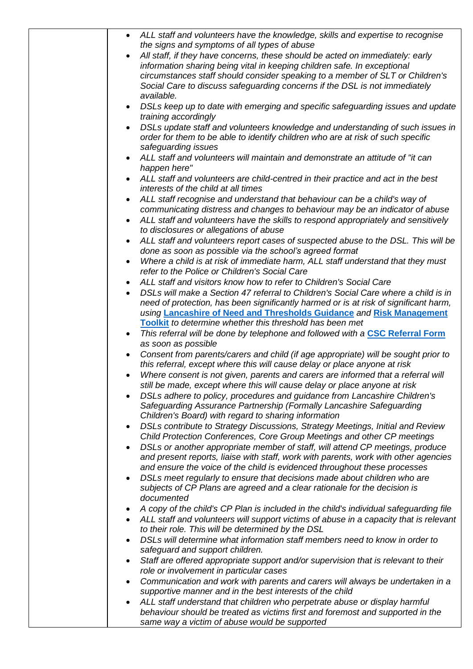| ALL staff and volunteers have the knowledge, skills and expertise to recognise                                                                                |
|---------------------------------------------------------------------------------------------------------------------------------------------------------------|
| the signs and symptoms of all types of abuse                                                                                                                  |
| All staff, if they have concerns, these should be acted on immediately: early                                                                                 |
| information sharing being vital in keeping children safe. In exceptional                                                                                      |
| circumstances staff should consider speaking to a member of SLT or Children's                                                                                 |
| Social Care to discuss safeguarding concerns if the DSL is not immediately<br>available.                                                                      |
| DSLs keep up to date with emerging and specific safeguarding issues and update                                                                                |
| training accordingly                                                                                                                                          |
| DSLs update staff and volunteers knowledge and understanding of such issues in                                                                                |
| order for them to be able to identify children who are at risk of such specific<br>safeguarding issues                                                        |
| ALL staff and volunteers will maintain and demonstrate an attitude of "it can                                                                                 |
| happen here"                                                                                                                                                  |
| ALL staff and volunteers are child-centred in their practice and act in the best                                                                              |
| interests of the child at all times                                                                                                                           |
| ALL staff recognise and understand that behaviour can be a child's way of                                                                                     |
| communicating distress and changes to behaviour may be an indicator of abuse                                                                                  |
| ALL staff and volunteers have the skills to respond appropriately and sensitively                                                                             |
| to disclosures or allegations of abuse                                                                                                                        |
| ALL staff and volunteers report cases of suspected abuse to the DSL. This will be                                                                             |
| done as soon as possible via the school's agreed format                                                                                                       |
| Where a child is at risk of immediate harm, ALL staff understand that they must<br>refer to the Police or Children's Social Care                              |
| ALL staff and visitors know how to refer to Children's Social Care                                                                                            |
| DSLs will make a Section 47 referral to Children's Social Care where a child is in                                                                            |
| need of protection, has been significantly harmed or is at risk of significant harm,                                                                          |
| using Lancashire of Need and Thresholds Guidance and Risk Management                                                                                          |
| Toolkit to determine whether this threshold has been met                                                                                                      |
| This referral will be done by telephone and followed with a CSC Referral Form<br>$\bullet$                                                                    |
| as soon as possible                                                                                                                                           |
| Consent from parents/carers and child (if age appropriate) will be sought prior to                                                                            |
| this referral, except where this will cause delay or place anyone at risk<br>Where consent is not given, parents and carers are informed that a referral will |
| still be made, except where this will cause delay or place anyone at risk                                                                                     |
| DSLs adhere to policy, procedures and guidance from Lancashire Children's                                                                                     |
| Safeguarding Assurance Partnership (Formally Lancashire Safeguarding                                                                                          |
| Children's Board) with regard to sharing information                                                                                                          |
| DSLs contribute to Strategy Discussions, Strategy Meetings, Initial and Review                                                                                |
| Child Protection Conferences, Core Group Meetings and other CP meetings                                                                                       |
| DSLs or another appropriate member of staff, will attend CP meetings, produce                                                                                 |
| and present reports, liaise with staff, work with parents, work with other agencies                                                                           |
| and ensure the voice of the child is evidenced throughout these processes                                                                                     |
| DSLs meet regularly to ensure that decisions made about children who are                                                                                      |
| subjects of CP Plans are agreed and a clear rationale for the decision is                                                                                     |
| documented                                                                                                                                                    |
| A copy of the child's CP Plan is included in the child's individual safeguarding file                                                                         |
| ALL staff and volunteers will support victims of abuse in a capacity that is relevant                                                                         |
| to their role. This will be determined by the DSL                                                                                                             |
| DSLs will determine what information staff members need to know in order to<br>safeguard and support children.                                                |
| Staff are offered appropriate support and/or supervision that is relevant to their                                                                            |
| role or involvement in particular cases                                                                                                                       |
| Communication and work with parents and carers will always be undertaken in a                                                                                 |
| supportive manner and in the best interests of the child                                                                                                      |
| ALL staff understand that children who perpetrate abuse or display harmful                                                                                    |
| behaviour should be treated as victims first and foremost and supported in the                                                                                |
| same way a victim of abuse would be supported                                                                                                                 |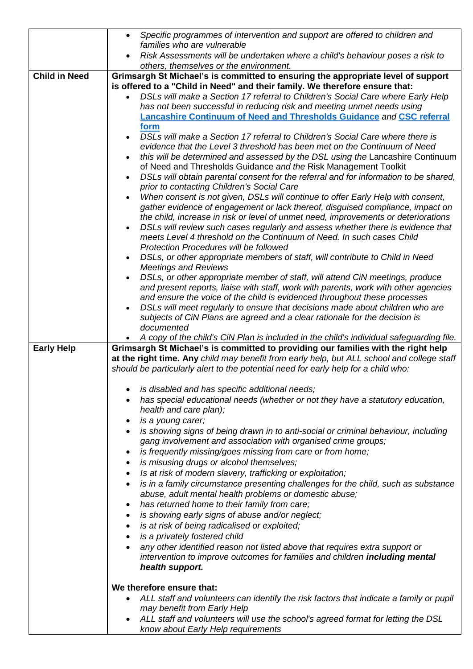|                      | Specific programmes of intervention and support are offered to children and<br>$\bullet$                                                                                         |  |
|----------------------|----------------------------------------------------------------------------------------------------------------------------------------------------------------------------------|--|
|                      | families who are vulnerable                                                                                                                                                      |  |
|                      | Risk Assessments will be undertaken where a child's behaviour poses a risk to<br>others, themselves or the environment.                                                          |  |
| <b>Child in Need</b> | Grimsargh St Michael's is committed to ensuring the appropriate level of support                                                                                                 |  |
|                      | is offered to a "Child in Need" and their family. We therefore ensure that:                                                                                                      |  |
|                      | DSLs will make a Section 17 referral to Children's Social Care where Early Help<br>$\bullet$                                                                                     |  |
|                      | has not been successful in reducing risk and meeting unmet needs using                                                                                                           |  |
|                      | <b>Lancashire Continuum of Need and Thresholds Guidance and CSC referral</b>                                                                                                     |  |
|                      | form                                                                                                                                                                             |  |
|                      | DSLs will make a Section 17 referral to Children's Social Care where there is                                                                                                    |  |
|                      | evidence that the Level 3 threshold has been met on the Continuum of Need                                                                                                        |  |
|                      | this will be determined and assessed by the DSL using the Lancashire Continuum                                                                                                   |  |
|                      | of Need and Thresholds Guidance and the Risk Management Toolkit                                                                                                                  |  |
|                      | DSLs will obtain parental consent for the referral and for information to be shared,                                                                                             |  |
|                      | prior to contacting Children's Social Care                                                                                                                                       |  |
|                      | When consent is not given, DSLs will continue to offer Early Help with consent,                                                                                                  |  |
|                      | gather evidence of engagement or lack thereof, disguised compliance, impact on                                                                                                   |  |
|                      | the child, increase in risk or level of unmet need, improvements or deteriorations                                                                                               |  |
|                      | DSLs will review such cases regularly and assess whether there is evidence that<br>meets Level 4 threshold on the Continuum of Need. In such cases Child                         |  |
|                      | Protection Procedures will be followed                                                                                                                                           |  |
|                      | DSLs, or other appropriate members of staff, will contribute to Child in Need                                                                                                    |  |
|                      | <b>Meetings and Reviews</b>                                                                                                                                                      |  |
|                      | DSLs, or other appropriate member of staff, will attend CiN meetings, produce                                                                                                    |  |
|                      | and present reports, liaise with staff, work with parents, work with other agencies                                                                                              |  |
|                      | and ensure the voice of the child is evidenced throughout these processes                                                                                                        |  |
|                      | DSLs will meet regularly to ensure that decisions made about children who are                                                                                                    |  |
|                      | subjects of CiN Plans are agreed and a clear rationale for the decision is                                                                                                       |  |
|                      | documented                                                                                                                                                                       |  |
|                      | A copy of the child's CiN Plan is included in the child's individual safeguarding file.                                                                                          |  |
| <b>Early Help</b>    | Grimsargh St Michael's is committed to providing our families with the right help                                                                                                |  |
|                      | at the right time. Any child may benefit from early help, but ALL school and college staff<br>should be particularly alert to the potential need for early help for a child who: |  |
|                      |                                                                                                                                                                                  |  |
|                      | is disabled and has specific additional needs;                                                                                                                                   |  |
|                      | has special educational needs (whether or not they have a statutory education,                                                                                                   |  |
|                      | health and care plan);                                                                                                                                                           |  |
|                      | is a young carer;                                                                                                                                                                |  |
|                      | is showing signs of being drawn in to anti-social or criminal behaviour, including                                                                                               |  |
|                      | gang involvement and association with organised crime groups;                                                                                                                    |  |
|                      | is frequently missing/goes missing from care or from home;<br>٠                                                                                                                  |  |
|                      | is misusing drugs or alcohol themselves;<br>٠                                                                                                                                    |  |
|                      | Is at risk of modern slavery, trafficking or exploitation;<br>$\bullet$                                                                                                          |  |
|                      | is in a family circumstance presenting challenges for the child, such as substance                                                                                               |  |
|                      | abuse, adult mental health problems or domestic abuse;                                                                                                                           |  |
|                      | has returned home to their family from care;<br>٠                                                                                                                                |  |
|                      | is showing early signs of abuse and/or neglect;                                                                                                                                  |  |
|                      | is at risk of being radicalised or exploited;<br>٠                                                                                                                               |  |
|                      | is a privately fostered child<br>٠                                                                                                                                               |  |
|                      | any other identified reason not listed above that requires extra support or                                                                                                      |  |
|                      | intervention to improve outcomes for families and children <b>including mental</b>                                                                                               |  |
|                      | health support.                                                                                                                                                                  |  |
|                      | We therefore ensure that:                                                                                                                                                        |  |
|                      |                                                                                                                                                                                  |  |
|                      | ALL staff and volunteers can identify the risk factors that indicate a family or pupil<br>may benefit from Early Help                                                            |  |
|                      | ALL staff and volunteers will use the school's agreed format for letting the DSL                                                                                                 |  |
|                      | know about Early Help requirements                                                                                                                                               |  |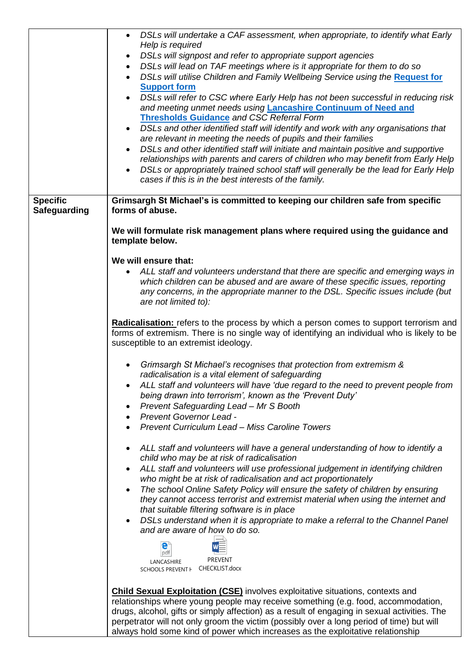|                     | DSLs will undertake a CAF assessment, when appropriate, to identify what Early                                                                                                            |
|---------------------|-------------------------------------------------------------------------------------------------------------------------------------------------------------------------------------------|
|                     | Help is required                                                                                                                                                                          |
|                     | DSLs will signpost and refer to appropriate support agencies<br>$\bullet$                                                                                                                 |
|                     | DSLs will lead on TAF meetings where is it appropriate for them to do so<br>$\bullet$                                                                                                     |
|                     | DSLs will utilise Children and Family Wellbeing Service using the Request for                                                                                                             |
|                     | <b>Support form</b><br>DSLs will refer to CSC where Early Help has not been successful in reducing risk                                                                                   |
|                     | and meeting unmet needs using Lancashire Continuum of Need and                                                                                                                            |
|                     | <b>Thresholds Guidance and CSC Referral Form</b>                                                                                                                                          |
|                     | DSLs and other identified staff will identify and work with any organisations that<br>$\bullet$                                                                                           |
|                     | are relevant in meeting the needs of pupils and their families                                                                                                                            |
|                     | DSLs and other identified staff will initiate and maintain positive and supportive<br>$\bullet$                                                                                           |
|                     | relationships with parents and carers of children who may benefit from Early Help                                                                                                         |
|                     | DSLs or appropriately trained school staff will generally be the lead for Early Help<br>$\bullet$                                                                                         |
|                     | cases if this is in the best interests of the family.                                                                                                                                     |
| <b>Specific</b>     | Grimsargh St Michael's is committed to keeping our children safe from specific                                                                                                            |
| <b>Safeguarding</b> | forms of abuse.                                                                                                                                                                           |
|                     |                                                                                                                                                                                           |
|                     | We will formulate risk management plans where required using the guidance and                                                                                                             |
|                     | template below.                                                                                                                                                                           |
|                     |                                                                                                                                                                                           |
|                     | We will ensure that:                                                                                                                                                                      |
|                     | ALL staff and volunteers understand that there are specific and emerging ways in<br>which children can be abused and are aware of these specific issues, reporting                        |
|                     | any concerns, in the appropriate manner to the DSL. Specific issues include (but                                                                                                          |
|                     | are not limited to):                                                                                                                                                                      |
|                     |                                                                                                                                                                                           |
|                     | Radicalisation: refers to the process by which a person comes to support terrorism and                                                                                                    |
|                     | forms of extremism. There is no single way of identifying an individual who is likely to be                                                                                               |
|                     | susceptible to an extremist ideology.                                                                                                                                                     |
|                     | Grimsargh St Michael's recognises that protection from extremism &                                                                                                                        |
|                     | radicalisation is a vital element of safeguarding                                                                                                                                         |
|                     | ALL staff and volunteers will have 'due regard to the need to prevent people from                                                                                                         |
|                     | being drawn into terrorism', known as the 'Prevent Duty'                                                                                                                                  |
|                     | Prevent Safeguarding Lead - Mr S Booth                                                                                                                                                    |
|                     | Prevent Governor Lead -<br>$\bullet$                                                                                                                                                      |
|                     | <b>Prevent Curriculum Lead - Miss Caroline Towers</b>                                                                                                                                     |
|                     |                                                                                                                                                                                           |
|                     | ALL staff and volunteers will have a general understanding of how to identify a<br>child who may be at risk of radicalisation                                                             |
|                     | ALL staff and volunteers will use professional judgement in identifying children                                                                                                          |
|                     | who might be at risk of radicalisation and act proportionately                                                                                                                            |
|                     | The school Online Safety Policy will ensure the safety of children by ensuring                                                                                                            |
|                     | they cannot access terrorist and extremist material when using the internet and                                                                                                           |
|                     | that suitable filtering software is in place                                                                                                                                              |
|                     | DSLs understand when it is appropriate to make a referral to the Channel Panel                                                                                                            |
|                     | and are aware of how to do so.                                                                                                                                                            |
|                     | е                                                                                                                                                                                         |
|                     | pdf<br><b>PREVENT</b><br>LANCASHIRE                                                                                                                                                       |
|                     | SCHOOLS PREVENT   CHECKLIST.docx                                                                                                                                                          |
|                     |                                                                                                                                                                                           |
|                     | <b>Child Sexual Exploitation (CSE)</b> involves exploitative situations, contexts and                                                                                                     |
|                     | relationships where young people may receive something (e.g. food, accommodation,                                                                                                         |
|                     | drugs, alcohol, gifts or simply affection) as a result of engaging in sexual activities. The<br>perpetrator will not only groom the victim (possibly over a long period of time) but will |
|                     |                                                                                                                                                                                           |

always hold some kind of power which increases as the exploitative relationship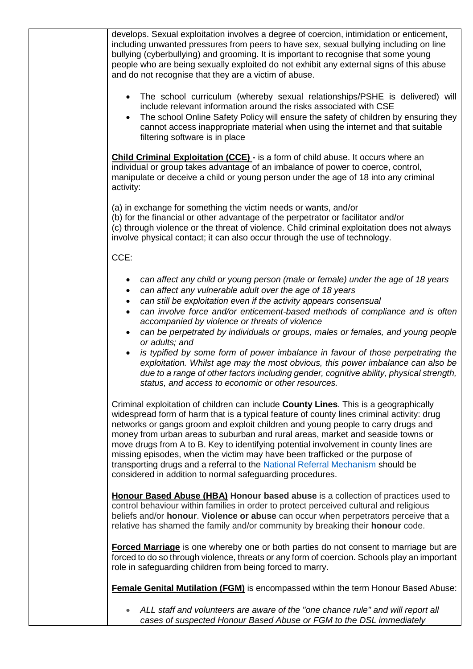develops. Sexual exploitation involves a degree of coercion, intimidation or enticement, including unwanted pressures from peers to have sex, sexual bullying including on line bullying (cyberbullying) and grooming. It is important to recognise that some young people who are being sexually exploited do not exhibit any external signs of this abuse and do not recognise that they are a victim of abuse. • The school curriculum (whereby sexual relationships/PSHE is delivered) will include relevant information around the risks associated with CSE The school Online Safety Policy will ensure the safety of children by ensuring they cannot access inappropriate material when using the internet and that suitable filtering software is in place **Child Criminal Exploitation (CCE) -** is a form of child abuse. It occurs where an individual or group takes advantage of an imbalance of power to coerce, control, manipulate or deceive a child or young person under the age of 18 into any criminal activity: (a) in exchange for something the victim needs or wants, and/or (b) for the financial or other advantage of the perpetrator or facilitator and/or (c) through violence or the threat of violence. Child criminal exploitation does not always involve physical contact; it can also occur through the use of technology. CCE: • *can affect any child or young person (male or female) under the age of 18 years* • *can affect any vulnerable adult over the age of 18 years* • *can still be exploitation even if the activity appears consensual* • *can involve force and/or enticement-based methods of compliance and is often accompanied by violence or threats of violence* • *can be perpetrated by individuals or groups, males or females, and young people or adults; and* • *is typified by some form of power imbalance in favour of those perpetrating the exploitation. Whilst age may the most obvious, this power imbalance can also be due to a range of other factors including gender, cognitive ability, physical strength, status, and access to economic or other resources.* Criminal exploitation of children can include **County Lines**. This is a geographically widespread form of harm that is a typical feature of county lines criminal activity: drug networks or gangs groom and exploit children and young people to carry drugs and money from urban areas to suburban and rural areas, market and seaside towns or move drugs from A to B. Key to identifying potential involvement in county lines are missing episodes, when the victim may have been trafficked or the purpose of transporting drugs and a referral to the [National Referral Mechanism](https://www.gov.uk/government/publications/human-trafficking-victims-referral-and-assessment-forms/guidance-on-the-national-referral-mechanism-for-potential-adult-victims-of-modern-slavery-england-and-wales#what-the-national-referral-mechanism-is) should be considered in addition to normal safeguarding procedures. **Honour Based Abuse (HBA) Honour based abuse** is a collection of practices used to control behaviour within families in order to protect perceived cultural and religious beliefs and/or **honour**. **Violence or abuse** can occur when perpetrators perceive that a relative has shamed the family and/or community by breaking their **honour** code. **Forced Marriage** is one whereby one or both parties do not consent to marriage but are forced to do so through violence, threats or any form of coercion. Schools play an important role in safeguarding children from being forced to marry. **Female Genital Mutilation (FGM)** is encompassed within the term Honour Based Abuse: • ALL staff and volunteers are aware of the "one chance rule" and will report all *cases of suspected Honour Based Abuse or FGM to the DSL immediately*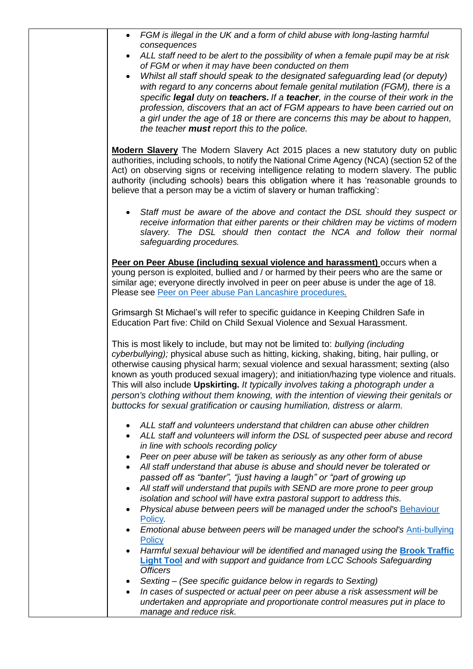| FGM is illegal in the UK and a form of child abuse with long-lasting harmful<br>consequences                                                                                             |
|------------------------------------------------------------------------------------------------------------------------------------------------------------------------------------------|
| ALL staff need to be alert to the possibility of when a female pupil may be at risk<br>of FGM or when it may have been conducted on them                                                 |
| Whilst all staff should speak to the designated safeguarding lead (or deputy)<br>$\bullet$                                                                                               |
| with regard to any concerns about female genital mutilation (FGM), there is a<br>specific legal duty on teachers. If a teacher, in the course of their work in the                       |
| profession, discovers that an act of FGM appears to have been carried out on                                                                                                             |
| a girl under the age of 18 or there are concerns this may be about to happen,<br>the teacher must report this to the police.                                                             |
| Modern Slavery The Modern Slavery Act 2015 places a new statutory duty on public                                                                                                         |
| authorities, including schools, to notify the National Crime Agency (NCA) (section 52 of the<br>Act) on observing signs or receiving intelligence relating to modern slavery. The public |
| authority (including schools) bears this obligation where it has 'reasonable grounds to<br>believe that a person may be a victim of slavery or human trafficking':                       |
| Staff must be aware of the above and contact the DSL should they suspect or                                                                                                              |
| receive information that either parents or their children may be victims of modern<br>slavery. The DSL should then contact the NCA and follow their normal                               |
| safeguarding procedures.                                                                                                                                                                 |
| Peer on Peer Abuse (including sexual violence and harassment) occurs when a                                                                                                              |
| young person is exploited, bullied and / or harmed by their peers who are the same or                                                                                                    |
| similar age; everyone directly involved in peer on peer abuse is under the age of 18.<br>Please see Peer on Peer abuse Pan Lancashire procedures.                                        |
| Grimsargh St Michael's will refer to specific guidance in Keeping Children Safe in<br>Education Part five: Child on Child Sexual Violence and Sexual Harassment.                         |
| This is most likely to include, but may not be limited to: bullying (including                                                                                                           |
| cyberbullying); physical abuse such as hitting, kicking, shaking, biting, hair pulling, or<br>otherwise causing physical harm; sexual violence and sexual harassment; sexting (also      |
| known as youth produced sexual imagery); and initiation/hazing type violence and rituals.                                                                                                |
| This will also include <b>Upskirting.</b> It typically involves taking a photograph under a<br>person's clothing without them knowing, with the intention of viewing their genitals or   |
| buttocks for sexual gratification or causing humiliation, distress or alarm.                                                                                                             |
| ALL staff and volunteers understand that children can abuse other children                                                                                                               |
| ALL staff and volunteers will inform the DSL of suspected peer abuse and record<br>in line with schools recording policy                                                                 |
| Peer on peer abuse will be taken as seriously as any other form of abuse                                                                                                                 |
| All staff understand that abuse is abuse and should never be tolerated or                                                                                                                |
| passed off as "banter", "just having a laugh" or "part of growing up<br>All staff will understand that pupils with SEND are more prone to peer group                                     |
| isolation and school will have extra pastoral support to address this.                                                                                                                   |
| Physical abuse between peers will be managed under the school's Behaviour<br>$\bullet$<br>Policy.                                                                                        |
| Emotional abuse between peers will be managed under the school's Anti-bullying                                                                                                           |
| Policy                                                                                                                                                                                   |
| Harmful sexual behaviour will be identified and managed using the <b>Brook Traffic</b><br><b>Light Tool</b> and with support and guidance from LCC Schools Safeguarding                  |
| <b>Officers</b>                                                                                                                                                                          |
| Sexting - (See specific guidance below in regards to Sexting)                                                                                                                            |
| In cases of suspected or actual peer on peer abuse a risk assessment will be<br>undertaken and appropriate and proportionate control measures put in place to                            |
| manage and reduce risk.                                                                                                                                                                  |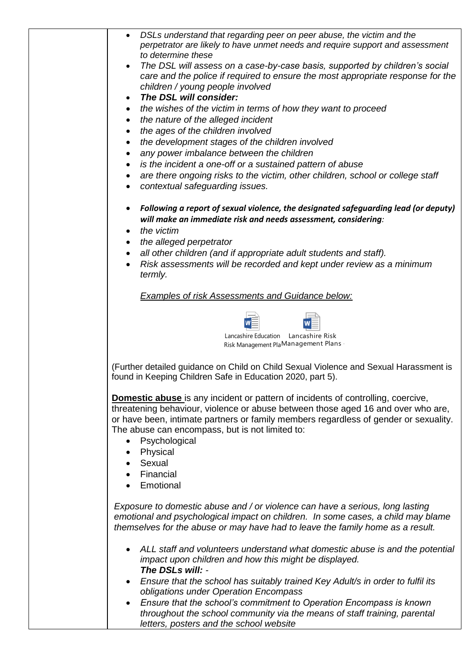| $\bullet$              | DSLs understand that regarding peer on peer abuse, the victim and the<br>perpetrator are likely to have unmet needs and require support and assessment<br>to determine these                                                                                                                                                            |
|------------------------|-----------------------------------------------------------------------------------------------------------------------------------------------------------------------------------------------------------------------------------------------------------------------------------------------------------------------------------------|
| $\bullet$              | The DSL will assess on a case-by-case basis, supported by children's social<br>care and the police if required to ensure the most appropriate response for the                                                                                                                                                                          |
| ٠                      | children / young people involved<br>The DSL will consider:                                                                                                                                                                                                                                                                              |
|                        | the wishes of the victim in terms of how they want to proceed                                                                                                                                                                                                                                                                           |
| $\bullet$              | the nature of the alleged incident                                                                                                                                                                                                                                                                                                      |
| $\bullet$              | the ages of the children involved                                                                                                                                                                                                                                                                                                       |
| $\bullet$              | the development stages of the children involved                                                                                                                                                                                                                                                                                         |
| $\bullet$              | any power imbalance between the children                                                                                                                                                                                                                                                                                                |
| $\bullet$<br>$\bullet$ | is the incident a one-off or a sustained pattern of abuse<br>are there ongoing risks to the victim, other children, school or college staff                                                                                                                                                                                             |
| $\bullet$              | contextual safeguarding issues.                                                                                                                                                                                                                                                                                                         |
| $\bullet$              | Following a report of sexual violence, the designated safeguarding lead (or deputy)<br>will make an immediate risk and needs assessment, considering:                                                                                                                                                                                   |
| $\bullet$              | the victim                                                                                                                                                                                                                                                                                                                              |
| $\bullet$<br>$\bullet$ | the alleged perpetrator<br>all other children (and if appropriate adult students and staff).                                                                                                                                                                                                                                            |
| $\bullet$              | Risk assessments will be recorded and kept under review as a minimum                                                                                                                                                                                                                                                                    |
|                        | termly.                                                                                                                                                                                                                                                                                                                                 |
|                        | <b>Examples of risk Assessments and Guidance below:</b>                                                                                                                                                                                                                                                                                 |
|                        | Lancashire Education<br>Lancashire Risk                                                                                                                                                                                                                                                                                                 |
|                        | Risk Management PlaManagement Plans                                                                                                                                                                                                                                                                                                     |
|                        | (Further detailed guidance on Child on Child Sexual Violence and Sexual Harassment is<br>found in Keeping Children Safe in Education 2020, part 5).                                                                                                                                                                                     |
| $\bullet$              | <b>Domestic abuse</b> is any incident or pattern of incidents of controlling, coercive,<br>threatening behaviour, violence or abuse between those aged 16 and over who are,<br>or have been, intimate partners or family members regardless of gender or sexuality.<br>The abuse can encompass, but is not limited to:<br>Psychological |
|                        | Physical                                                                                                                                                                                                                                                                                                                                |
|                        | Sexual                                                                                                                                                                                                                                                                                                                                  |
|                        | Financial                                                                                                                                                                                                                                                                                                                               |
|                        | Emotional                                                                                                                                                                                                                                                                                                                               |
|                        | Exposure to domestic abuse and / or violence can have a serious, long lasting<br>emotional and psychological impact on children. In some cases, a child may blame<br>themselves for the abuse or may have had to leave the family home as a result.                                                                                     |
| $\bullet$              | ALL staff and volunteers understand what domestic abuse is and the potential<br>impact upon children and how this might be displayed.<br>The DSLs will: -                                                                                                                                                                               |
| $\bullet$              | Ensure that the school has suitably trained Key Adult/s in order to fulfil its<br>obligations under Operation Encompass                                                                                                                                                                                                                 |
|                        |                                                                                                                                                                                                                                                                                                                                         |

• *Ensure that the school's commitment to Operation Encompass is known throughout the school community via the means of staff training, parental letters, posters and the school website*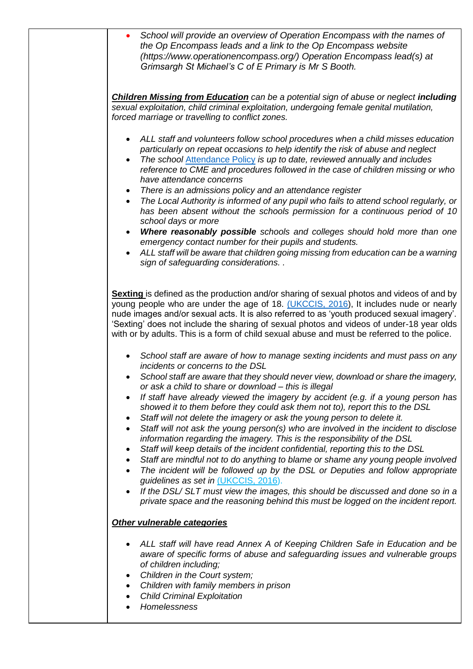| School will provide an overview of Operation Encompass with the names of<br>the Op Encompass leads and a link to the Op Encompass website<br>(https://www.operationencompass.org/) Operation Encompass lead(s) at<br>Grimsargh St Michael's C of E Primary is Mr S Booth.                                                                                                                                                                                                                                                                                                                                                                                                                                                                                                                                                                                                                                                                                                                                                                                                                                                                                                                           |
|-----------------------------------------------------------------------------------------------------------------------------------------------------------------------------------------------------------------------------------------------------------------------------------------------------------------------------------------------------------------------------------------------------------------------------------------------------------------------------------------------------------------------------------------------------------------------------------------------------------------------------------------------------------------------------------------------------------------------------------------------------------------------------------------------------------------------------------------------------------------------------------------------------------------------------------------------------------------------------------------------------------------------------------------------------------------------------------------------------------------------------------------------------------------------------------------------------|
| <b>Children Missing from Education</b> can be a potential sign of abuse or neglect including<br>sexual exploitation, child criminal exploitation, undergoing female genital mutilation,<br>forced marriage or travelling to conflict zones.                                                                                                                                                                                                                                                                                                                                                                                                                                                                                                                                                                                                                                                                                                                                                                                                                                                                                                                                                         |
| ALL staff and volunteers follow school procedures when a child misses education<br>particularly on repeat occasions to help identify the risk of abuse and neglect<br>The school Attendance Policy is up to date, reviewed annually and includes<br>$\bullet$<br>reference to CME and procedures followed in the case of children missing or who<br>have attendance concerns<br>There is an admissions policy and an attendance register<br>The Local Authority is informed of any pupil who fails to attend school regularly, or<br>has been absent without the schools permission for a continuous period of 10<br>school days or more                                                                                                                                                                                                                                                                                                                                                                                                                                                                                                                                                            |
| Where reasonably possible schools and colleges should hold more than one<br>$\bullet$<br>emergency contact number for their pupils and students.<br>ALL staff will be aware that children going missing from education can be a warning<br>sign of safeguarding considerations                                                                                                                                                                                                                                                                                                                                                                                                                                                                                                                                                                                                                                                                                                                                                                                                                                                                                                                      |
| Sexting is defined as the production and/or sharing of sexual photos and videos of and by<br>young people who are under the age of 18. (UKCCIS, 2016), It includes nude or nearly<br>nude images and/or sexual acts. It is also referred to as 'youth produced sexual imagery'.<br>'Sexting' does not include the sharing of sexual photos and videos of under-18 year olds<br>with or by adults. This is a form of child sexual abuse and must be referred to the police.                                                                                                                                                                                                                                                                                                                                                                                                                                                                                                                                                                                                                                                                                                                          |
| School staff are aware of how to manage sexting incidents and must pass on any<br>incidents or concerns to the DSL<br>School staff are aware that they should never view, download or share the imagery,<br>or ask a child to share or download - this is illegal<br>If staff have already viewed the imagery by accident (e.g. if a young person has<br>$\bullet$<br>showed it to them before they could ask them not to), report this to the DSL<br>Staff will not delete the imagery or ask the young person to delete it.<br>$\bullet$<br>Staff will not ask the young person(s) who are involved in the incident to disclose<br>information regarding the imagery. This is the responsibility of the DSL<br>Staff will keep details of the incident confidential, reporting this to the DSL<br>Staff are mindful not to do anything to blame or shame any young people involved<br>$\bullet$<br>The incident will be followed up by the DSL or Deputies and follow appropriate<br>guidelines as set in (UKCCIS, 2016).<br>If the DSL/SLT must view the images, this should be discussed and done so in a<br>private space and the reasoning behind this must be logged on the incident report. |
| Other vulnerable categories<br>ALL staff will have read Annex A of Keeping Children Safe in Education and be<br>aware of specific forms of abuse and safeguarding issues and vulnerable groups<br>of children including;<br>Children in the Court system;<br>Children with family members in prison<br><b>Child Criminal Exploitation</b><br>Homelessness                                                                                                                                                                                                                                                                                                                                                                                                                                                                                                                                                                                                                                                                                                                                                                                                                                           |
|                                                                                                                                                                                                                                                                                                                                                                                                                                                                                                                                                                                                                                                                                                                                                                                                                                                                                                                                                                                                                                                                                                                                                                                                     |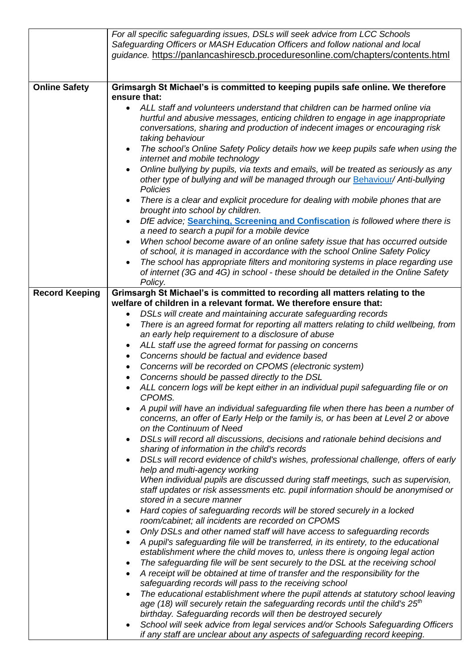|                       | For all specific safeguarding issues, DSLs will seek advice from LCC Schools                                                                                         |
|-----------------------|----------------------------------------------------------------------------------------------------------------------------------------------------------------------|
|                       | Safeguarding Officers or MASH Education Officers and follow national and local                                                                                       |
|                       | guidance. https://panlancashirescb.proceduresonline.com/chapters/contents.html                                                                                       |
|                       |                                                                                                                                                                      |
| <b>Online Safety</b>  | Grimsargh St Michael's is committed to keeping pupils safe online. We therefore                                                                                      |
|                       | ensure that:                                                                                                                                                         |
|                       | ALL staff and volunteers understand that children can be harmed online via                                                                                           |
|                       | hurtful and abusive messages, enticing children to engage in age inappropriate                                                                                       |
|                       | conversations, sharing and production of indecent images or encouraging risk                                                                                         |
|                       | taking behaviour                                                                                                                                                     |
|                       | The school's Online Safety Policy details how we keep pupils safe when using the<br>$\bullet$                                                                        |
|                       | internet and mobile technology                                                                                                                                       |
|                       | Online bullying by pupils, via texts and emails, will be treated as seriously as any                                                                                 |
|                       | other type of bullying and will be managed through our Behaviour/ Anti-bullying<br>Policies                                                                          |
|                       | There is a clear and explicit procedure for dealing with mobile phones that are<br>$\bullet$                                                                         |
|                       | brought into school by children.                                                                                                                                     |
|                       | DfE advice; Searching, Screening and Confiscation is followed where there is                                                                                         |
|                       | a need to search a pupil for a mobile device                                                                                                                         |
|                       | When school become aware of an online safety issue that has occurred outside                                                                                         |
|                       | of school, it is managed in accordance with the school Online Safety Policy                                                                                          |
|                       | The school has appropriate filters and monitoring systems in place regarding use                                                                                     |
|                       | of internet (3G and 4G) in school - these should be detailed in the Online Safety                                                                                    |
|                       | Policy.                                                                                                                                                              |
| <b>Record Keeping</b> | Grimsargh St Michael's is committed to recording all matters relating to the<br>welfare of children in a relevant format. We therefore ensure that:                  |
|                       | DSLs will create and maintaining accurate safeguarding records                                                                                                       |
|                       | There is an agreed format for reporting all matters relating to child wellbeing, from<br>$\bullet$                                                                   |
|                       | an early help requirement to a disclosure of abuse                                                                                                                   |
|                       | ALL staff use the agreed format for passing on concerns                                                                                                              |
|                       | Concerns should be factual and evidence based<br>$\bullet$                                                                                                           |
|                       | Concerns will be recorded on CPOMS (electronic system)                                                                                                               |
|                       | Concerns should be passed directly to the DSL<br>$\bullet$                                                                                                           |
|                       | ALL concern logs will be kept either in an individual pupil safeguarding file or on                                                                                  |
|                       | CPOMS.                                                                                                                                                               |
|                       | A pupil will have an individual safeguarding file when there has been a number of                                                                                    |
|                       | concerns, an offer of Early Help or the family is, or has been at Level 2 or above<br>on the Continuum of Need                                                       |
|                       |                                                                                                                                                                      |
|                       | DSLs will record all discussions, decisions and rationale behind decisions and<br>sharing of information in the child's records                                      |
|                       | DSLs will record evidence of child's wishes, professional challenge, offers of early                                                                                 |
|                       | help and multi-agency working                                                                                                                                        |
|                       | When individual pupils are discussed during staff meetings, such as supervision,                                                                                     |
|                       | staff updates or risk assessments etc. pupil information should be anonymised or                                                                                     |
|                       | stored in a secure manner                                                                                                                                            |
|                       | Hard copies of safeguarding records will be stored securely in a locked                                                                                              |
|                       | room/cabinet; all incidents are recorded on CPOMS                                                                                                                    |
|                       | Only DSLs and other named staff will have access to safeguarding records                                                                                             |
|                       | A pupil's safeguarding file will be transferred, in its entirety, to the educational<br>establishment where the child moves to, unless there is ongoing legal action |
|                       | The safeguarding file will be sent securely to the DSL at the receiving school                                                                                       |
|                       | A receipt will be obtained at time of transfer and the responsibility for the<br>$\bullet$                                                                           |
|                       | safeguarding records will pass to the receiving school                                                                                                               |
|                       | The educational establishment where the pupil attends at statutory school leaving                                                                                    |
|                       | age (18) will securely retain the safeguarding records until the child's $25th$                                                                                      |
|                       | birthday. Safeguarding records will then be destroyed securely                                                                                                       |
|                       | School will seek advice from legal services and/or Schools Safeguarding Officers                                                                                     |
|                       | if any staff are unclear about any aspects of safeguarding record keeping.                                                                                           |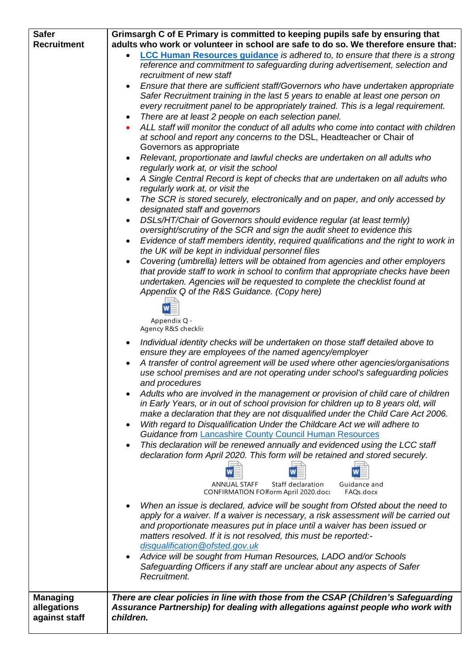| <b>Safer</b>                   | Grimsargh C of E Primary is committed to keeping pupils safe by ensuring that                                                                                          |  |  |
|--------------------------------|------------------------------------------------------------------------------------------------------------------------------------------------------------------------|--|--|
| <b>Recruitment</b>             | adults who work or volunteer in school are safe to do so. We therefore ensure that:                                                                                    |  |  |
|                                | <b>LCC Human Resources guidance</b> is adhered to, to ensure that there is a strong                                                                                    |  |  |
|                                | reference and commitment to safeguarding during advertisement, selection and                                                                                           |  |  |
|                                | recruitment of new staff                                                                                                                                               |  |  |
|                                | Ensure that there are sufficient staff/Governors who have undertaken appropriate                                                                                       |  |  |
|                                | Safer Recruitment training in the last 5 years to enable at least one person on<br>every recruitment panel to be appropriately trained. This is a legal requirement.   |  |  |
|                                | There are at least 2 people on each selection panel.<br>٠                                                                                                              |  |  |
|                                | ALL staff will monitor the conduct of all adults who come into contact with children                                                                                   |  |  |
|                                | at school and report any concerns to the DSL, Headteacher or Chair of                                                                                                  |  |  |
|                                | Governors as appropriate                                                                                                                                               |  |  |
|                                | Relevant, proportionate and lawful checks are undertaken on all adults who                                                                                             |  |  |
|                                | regularly work at, or visit the school                                                                                                                                 |  |  |
|                                | A Single Central Record is kept of checks that are undertaken on all adults who                                                                                        |  |  |
|                                | regularly work at, or visit the                                                                                                                                        |  |  |
|                                | The SCR is stored securely, electronically and on paper, and only accessed by<br>designated staff and governors                                                        |  |  |
|                                | DSLs/HT/Chair of Governors should evidence regular (at least termly)<br>$\bullet$                                                                                      |  |  |
|                                | oversight/scrutiny of the SCR and sign the audit sheet to evidence this                                                                                                |  |  |
|                                | Evidence of staff members identity, required qualifications and the right to work in                                                                                   |  |  |
|                                | the UK will be kept in individual personnel files                                                                                                                      |  |  |
|                                | Covering (umbrella) letters will be obtained from agencies and other employers                                                                                         |  |  |
|                                | that provide staff to work in school to confirm that appropriate checks have been                                                                                      |  |  |
|                                | undertaken. Agencies will be requested to complete the checklist found at                                                                                              |  |  |
|                                | Appendix Q of the R&S Guidance. (Copy here)                                                                                                                            |  |  |
|                                |                                                                                                                                                                        |  |  |
|                                | Appendix Q -                                                                                                                                                           |  |  |
|                                | Agency R&S checklis                                                                                                                                                    |  |  |
|                                | Individual identity checks will be undertaken on those staff detailed above to                                                                                         |  |  |
|                                | ensure they are employees of the named agency/employer                                                                                                                 |  |  |
|                                | A transfer of control agreement will be used where other agencies/organisations<br>use school premises and are not operating under school's safeguarding policies      |  |  |
|                                | and procedures                                                                                                                                                         |  |  |
|                                | Adults who are involved in the management or provision of child care of children                                                                                       |  |  |
|                                | in Early Years, or in out of school provision for children up to 8 years old, will                                                                                     |  |  |
|                                | make a declaration that they are not disqualified under the Child Care Act 2006.                                                                                       |  |  |
|                                | With regard to Disqualification Under the Childcare Act we will adhere to                                                                                              |  |  |
|                                | <b>Guidance from Lancashire County Council Human Resources</b>                                                                                                         |  |  |
|                                | This declaration will be renewed annually and evidenced using the LCC staff                                                                                            |  |  |
|                                | declaration form April 2020. This form will be retained and stored securely.                                                                                           |  |  |
|                                |                                                                                                                                                                        |  |  |
|                                | Staff declaration<br><b>ANNUAL STAFF</b><br>Guidance and                                                                                                               |  |  |
|                                | CONFIRMATION FOlform April 2020.doc<br>FAQs.docx                                                                                                                       |  |  |
|                                | When an issue is declared, advice will be sought from Ofsted about the need to                                                                                         |  |  |
|                                | apply for a waiver. If a waiver is necessary, a risk assessment will be carried out                                                                                    |  |  |
|                                | and proportionate measures put in place until a waiver has been issued or<br>matters resolved. If it is not resolved, this must be reported:-                          |  |  |
|                                | disqualification@ofsted.gov.uk                                                                                                                                         |  |  |
|                                | Advice will be sought from Human Resources, LADO and/or Schools                                                                                                        |  |  |
|                                | Safeguarding Officers if any staff are unclear about any aspects of Safer                                                                                              |  |  |
|                                | Recruitment.                                                                                                                                                           |  |  |
|                                |                                                                                                                                                                        |  |  |
| <b>Managing</b><br>allegations | There are clear policies in line with those from the CSAP (Children's Safeguarding<br>Assurance Partnership) for dealing with allegations against people who work with |  |  |
| against staff                  | children.                                                                                                                                                              |  |  |
|                                |                                                                                                                                                                        |  |  |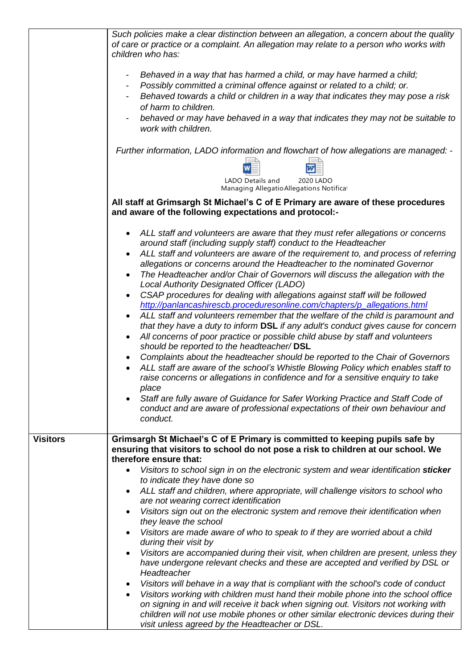|                 | Such policies make a clear distinction between an allegation, a concern about the quality<br>of care or practice or a complaint. An allegation may relate to a person who works with<br>children who has:                                                                                                                                                                                                                                                                                                                                                                                                                                                                                                                                                                                                                                                                                                                                                                                                                                                                                                                                                                                                                                                                                                                                                                                                                                              |
|-----------------|--------------------------------------------------------------------------------------------------------------------------------------------------------------------------------------------------------------------------------------------------------------------------------------------------------------------------------------------------------------------------------------------------------------------------------------------------------------------------------------------------------------------------------------------------------------------------------------------------------------------------------------------------------------------------------------------------------------------------------------------------------------------------------------------------------------------------------------------------------------------------------------------------------------------------------------------------------------------------------------------------------------------------------------------------------------------------------------------------------------------------------------------------------------------------------------------------------------------------------------------------------------------------------------------------------------------------------------------------------------------------------------------------------------------------------------------------------|
|                 | Behaved in a way that has harmed a child, or may have harmed a child;<br>Possibly committed a criminal offence against or related to a child; or.<br>Behaved towards a child or children in a way that indicates they may pose a risk<br>of harm to children.<br>behaved or may have behaved in a way that indicates they may not be suitable to<br>work with children.                                                                                                                                                                                                                                                                                                                                                                                                                                                                                                                                                                                                                                                                                                                                                                                                                                                                                                                                                                                                                                                                                |
|                 | Further information, LADO information and flowchart of how allegations are managed: -                                                                                                                                                                                                                                                                                                                                                                                                                                                                                                                                                                                                                                                                                                                                                                                                                                                                                                                                                                                                                                                                                                                                                                                                                                                                                                                                                                  |
|                 | LADO Details and<br>2020 LADO<br>Managing Allegatio Allegations Notificat                                                                                                                                                                                                                                                                                                                                                                                                                                                                                                                                                                                                                                                                                                                                                                                                                                                                                                                                                                                                                                                                                                                                                                                                                                                                                                                                                                              |
|                 | All staff at Grimsargh St Michael's C of E Primary are aware of these procedures<br>and aware of the following expectations and protocol:-                                                                                                                                                                                                                                                                                                                                                                                                                                                                                                                                                                                                                                                                                                                                                                                                                                                                                                                                                                                                                                                                                                                                                                                                                                                                                                             |
|                 | ALL staff and volunteers are aware that they must refer allegations or concerns<br>$\bullet$<br>around staff (including supply staff) conduct to the Headteacher<br>ALL staff and volunteers are aware of the requirement to, and process of referring<br>$\bullet$<br>allegations or concerns around the Headteacher to the nominated Governor<br>The Headteacher and/or Chair of Governors will discuss the allegation with the<br>$\bullet$<br>Local Authority Designated Officer (LADO)<br>CSAP procedures for dealing with allegations against staff will be followed<br>http://panlancashirescb.proceduresonline.com/chapters/p_allegations.html<br>ALL staff and volunteers remember that the welfare of the child is paramount and<br>$\bullet$<br>that they have a duty to inform DSL if any adult's conduct gives cause for concern<br>All concerns of poor practice or possible child abuse by staff and volunteers<br>$\bullet$<br>should be reported to the headteacher/DSL<br>Complaints about the headteacher should be reported to the Chair of Governors<br>ALL staff are aware of the school's Whistle Blowing Policy which enables staff to<br>raise concerns or allegations in confidence and for a sensitive enquiry to take<br>place<br>Staff are fully aware of Guidance for Safer Working Practice and Staff Code of<br>$\bullet$<br>conduct and are aware of professional expectations of their own behaviour and<br>conduct. |
| <b>Visitors</b> | Grimsargh St Michael's C of E Primary is committed to keeping pupils safe by<br>ensuring that visitors to school do not pose a risk to children at our school. We<br>therefore ensure that:                                                                                                                                                                                                                                                                                                                                                                                                                                                                                                                                                                                                                                                                                                                                                                                                                                                                                                                                                                                                                                                                                                                                                                                                                                                            |
|                 | Visitors to school sign in on the electronic system and wear identification sticker<br>$\bullet$<br>to indicate they have done so<br>ALL staff and children, where appropriate, will challenge visitors to school who<br>$\bullet$                                                                                                                                                                                                                                                                                                                                                                                                                                                                                                                                                                                                                                                                                                                                                                                                                                                                                                                                                                                                                                                                                                                                                                                                                     |
|                 | are not wearing correct identification<br>Visitors sign out on the electronic system and remove their identification when<br>$\bullet$                                                                                                                                                                                                                                                                                                                                                                                                                                                                                                                                                                                                                                                                                                                                                                                                                                                                                                                                                                                                                                                                                                                                                                                                                                                                                                                 |
|                 | they leave the school                                                                                                                                                                                                                                                                                                                                                                                                                                                                                                                                                                                                                                                                                                                                                                                                                                                                                                                                                                                                                                                                                                                                                                                                                                                                                                                                                                                                                                  |
|                 | Visitors are made aware of who to speak to if they are worried about a child<br>$\bullet$<br>during their visit by                                                                                                                                                                                                                                                                                                                                                                                                                                                                                                                                                                                                                                                                                                                                                                                                                                                                                                                                                                                                                                                                                                                                                                                                                                                                                                                                     |
|                 | Visitors are accompanied during their visit, when children are present, unless they<br>$\bullet$<br>have undergone relevant checks and these are accepted and verified by DSL or<br>Headteacher                                                                                                                                                                                                                                                                                                                                                                                                                                                                                                                                                                                                                                                                                                                                                                                                                                                                                                                                                                                                                                                                                                                                                                                                                                                        |
|                 | Visitors will behave in a way that is compliant with the school's code of conduct<br>$\bullet$<br>Visitors working with children must hand their mobile phone into the school office<br>$\bullet$<br>on signing in and will receive it back when signing out. Visitors not working with<br>children will not use mobile phones or other similar electronic devices during their<br>visit unless agreed by the Headteacher or DSL.                                                                                                                                                                                                                                                                                                                                                                                                                                                                                                                                                                                                                                                                                                                                                                                                                                                                                                                                                                                                                      |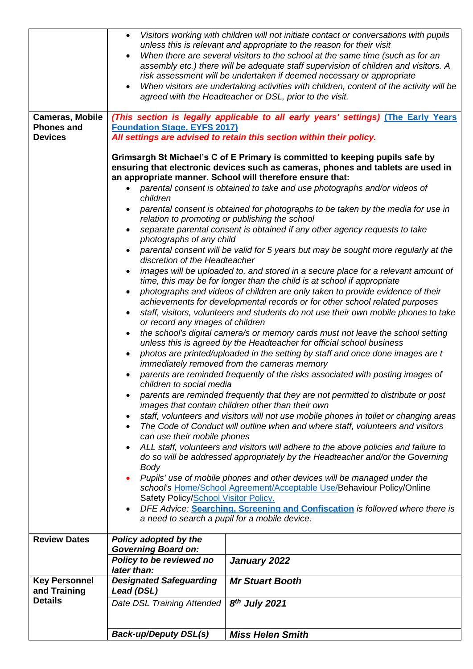|                                             | $\bullet$<br>$\bullet$                                                                                                                                                                                                                                                                                                                                                                                                                                                                                                                                                                                                                                                                                                                                                                                                                                                                                                                                                                                                                                                                                                                                                                                                                                                                                                                                                                                                                                                                                                                                                                                                                                                                                                                                                                                                                                                                                                                                                                                                                                                                                                                                                                                                                                                                                                                                                                       | Visitors working with children will not initiate contact or conversations with pupils<br>unless this is relevant and appropriate to the reason for their visit<br>When there are several visitors to the school at the same time (such as for an<br>assembly etc.) there will be adequate staff supervision of children and visitors. A<br>risk assessment will be undertaken if deemed necessary or appropriate<br>When visitors are undertaking activities with children, content of the activity will be<br>agreed with the Headteacher or DSL, prior to the visit. |  |
|---------------------------------------------|----------------------------------------------------------------------------------------------------------------------------------------------------------------------------------------------------------------------------------------------------------------------------------------------------------------------------------------------------------------------------------------------------------------------------------------------------------------------------------------------------------------------------------------------------------------------------------------------------------------------------------------------------------------------------------------------------------------------------------------------------------------------------------------------------------------------------------------------------------------------------------------------------------------------------------------------------------------------------------------------------------------------------------------------------------------------------------------------------------------------------------------------------------------------------------------------------------------------------------------------------------------------------------------------------------------------------------------------------------------------------------------------------------------------------------------------------------------------------------------------------------------------------------------------------------------------------------------------------------------------------------------------------------------------------------------------------------------------------------------------------------------------------------------------------------------------------------------------------------------------------------------------------------------------------------------------------------------------------------------------------------------------------------------------------------------------------------------------------------------------------------------------------------------------------------------------------------------------------------------------------------------------------------------------------------------------------------------------------------------------------------------------|------------------------------------------------------------------------------------------------------------------------------------------------------------------------------------------------------------------------------------------------------------------------------------------------------------------------------------------------------------------------------------------------------------------------------------------------------------------------------------------------------------------------------------------------------------------------|--|
| <b>Cameras, Mobile</b><br><b>Phones and</b> | <b>Foundation Stage, EYFS 2017)</b>                                                                                                                                                                                                                                                                                                                                                                                                                                                                                                                                                                                                                                                                                                                                                                                                                                                                                                                                                                                                                                                                                                                                                                                                                                                                                                                                                                                                                                                                                                                                                                                                                                                                                                                                                                                                                                                                                                                                                                                                                                                                                                                                                                                                                                                                                                                                                          | (This section is legally applicable to all early years' settings) (The Early Years                                                                                                                                                                                                                                                                                                                                                                                                                                                                                     |  |
| <b>Devices</b>                              | All settings are advised to retain this section within their policy.                                                                                                                                                                                                                                                                                                                                                                                                                                                                                                                                                                                                                                                                                                                                                                                                                                                                                                                                                                                                                                                                                                                                                                                                                                                                                                                                                                                                                                                                                                                                                                                                                                                                                                                                                                                                                                                                                                                                                                                                                                                                                                                                                                                                                                                                                                                         |                                                                                                                                                                                                                                                                                                                                                                                                                                                                                                                                                                        |  |
|                                             | ensuring that electronic devices such as cameras, phones and tablets are used in<br>an appropriate manner. School will therefore ensure that:<br>parental consent is obtained to take and use photographs and/or videos of<br>children<br>parental consent is obtained for photographs to be taken by the media for use in<br>relation to promoting or publishing the school<br>separate parental consent is obtained if any other agency requests to take<br>photographs of any child<br>parental consent will be valid for 5 years but may be sought more regularly at the<br>discretion of the Headteacher<br>images will be uploaded to, and stored in a secure place for a relevant amount of<br>time, this may be for longer than the child is at school if appropriate<br>photographs and videos of children are only taken to provide evidence of their<br>achievements for developmental records or for other school related purposes<br>staff, visitors, volunteers and students do not use their own mobile phones to take<br>or record any images of children<br>the school's digital camera/s or memory cards must not leave the school setting<br>$\bullet$<br>unless this is agreed by the Headteacher for official school business<br>photos are printed/uploaded in the setting by staff and once done images are t<br>immediately removed from the cameras memory<br>parents are reminded frequently of the risks associated with posting images of<br>children to social media<br>parents are reminded frequently that they are not permitted to distribute or post<br>images that contain children other than their own<br>staff, volunteers and visitors will not use mobile phones in toilet or changing areas<br>٠<br>The Code of Conduct will outline when and where staff, volunteers and visitors<br>$\bullet$<br>can use their mobile phones<br>ALL staff, volunteers and visitors will adhere to the above policies and failure to<br>do so will be addressed appropriately by the Headteacher and/or the Governing<br><b>Body</b><br>Pupils' use of mobile phones and other devices will be managed under the<br>school's Home/School Agreement/Acceptable Use/Behaviour Policy/Online<br>Safety Policy/School Visitor Policy.<br>DFE Advice; Searching, Screening and Confiscation is followed where there is<br>a need to search a pupil for a mobile device. |                                                                                                                                                                                                                                                                                                                                                                                                                                                                                                                                                                        |  |
| <b>Review Dates</b>                         | Policy adopted by the                                                                                                                                                                                                                                                                                                                                                                                                                                                                                                                                                                                                                                                                                                                                                                                                                                                                                                                                                                                                                                                                                                                                                                                                                                                                                                                                                                                                                                                                                                                                                                                                                                                                                                                                                                                                                                                                                                                                                                                                                                                                                                                                                                                                                                                                                                                                                                        |                                                                                                                                                                                                                                                                                                                                                                                                                                                                                                                                                                        |  |
|                                             | <b>Governing Board on:</b><br>Policy to be reviewed no                                                                                                                                                                                                                                                                                                                                                                                                                                                                                                                                                                                                                                                                                                                                                                                                                                                                                                                                                                                                                                                                                                                                                                                                                                                                                                                                                                                                                                                                                                                                                                                                                                                                                                                                                                                                                                                                                                                                                                                                                                                                                                                                                                                                                                                                                                                                       | January 2022                                                                                                                                                                                                                                                                                                                                                                                                                                                                                                                                                           |  |
|                                             | later than:                                                                                                                                                                                                                                                                                                                                                                                                                                                                                                                                                                                                                                                                                                                                                                                                                                                                                                                                                                                                                                                                                                                                                                                                                                                                                                                                                                                                                                                                                                                                                                                                                                                                                                                                                                                                                                                                                                                                                                                                                                                                                                                                                                                                                                                                                                                                                                                  |                                                                                                                                                                                                                                                                                                                                                                                                                                                                                                                                                                        |  |
| <b>Key Personnel</b><br>and Training        | <b>Designated Safeguarding</b><br>Lead (DSL)                                                                                                                                                                                                                                                                                                                                                                                                                                                                                                                                                                                                                                                                                                                                                                                                                                                                                                                                                                                                                                                                                                                                                                                                                                                                                                                                                                                                                                                                                                                                                                                                                                                                                                                                                                                                                                                                                                                                                                                                                                                                                                                                                                                                                                                                                                                                                 | <b>Mr Stuart Booth</b>                                                                                                                                                                                                                                                                                                                                                                                                                                                                                                                                                 |  |
| <b>Details</b>                              | Date DSL Training Attended                                                                                                                                                                                                                                                                                                                                                                                                                                                                                                                                                                                                                                                                                                                                                                                                                                                                                                                                                                                                                                                                                                                                                                                                                                                                                                                                                                                                                                                                                                                                                                                                                                                                                                                                                                                                                                                                                                                                                                                                                                                                                                                                                                                                                                                                                                                                                                   | $8th$ July 2021                                                                                                                                                                                                                                                                                                                                                                                                                                                                                                                                                        |  |
|                                             | <b>Back-up/Deputy DSL(s)</b>                                                                                                                                                                                                                                                                                                                                                                                                                                                                                                                                                                                                                                                                                                                                                                                                                                                                                                                                                                                                                                                                                                                                                                                                                                                                                                                                                                                                                                                                                                                                                                                                                                                                                                                                                                                                                                                                                                                                                                                                                                                                                                                                                                                                                                                                                                                                                                 | <b>Miss Helen Smith</b>                                                                                                                                                                                                                                                                                                                                                                                                                                                                                                                                                |  |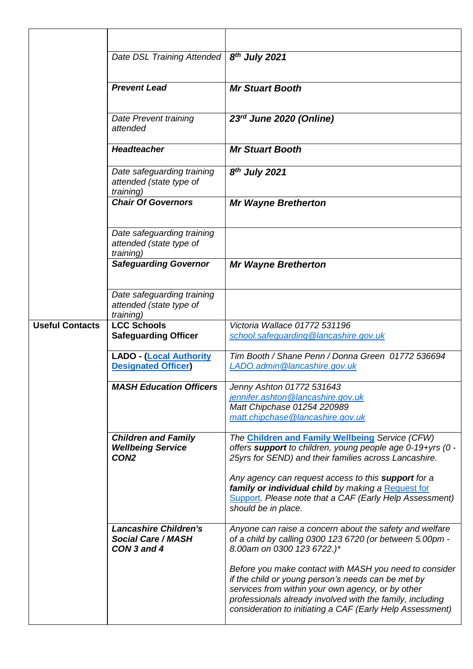|                        | Date DSL Training Attended                                                 | 8 <sup>th</sup> July 2021                                                                                                                                                                                                                                                                   |
|------------------------|----------------------------------------------------------------------------|---------------------------------------------------------------------------------------------------------------------------------------------------------------------------------------------------------------------------------------------------------------------------------------------|
|                        | <b>Prevent Lead</b>                                                        | <b>Mr Stuart Booth</b>                                                                                                                                                                                                                                                                      |
|                        | Date Prevent training<br>attended                                          | 23rd June 2020 (Online)                                                                                                                                                                                                                                                                     |
|                        | <b>Headteacher</b>                                                         | <b>Mr Stuart Booth</b>                                                                                                                                                                                                                                                                      |
|                        | Date safeguarding training<br>attended (state type of<br><i>training</i> ) | 8 <sup>th</sup> July 2021                                                                                                                                                                                                                                                                   |
|                        | <b>Chair Of Governors</b>                                                  | <b>Mr Wayne Bretherton</b>                                                                                                                                                                                                                                                                  |
|                        | Date safeguarding training<br>attended (state type of<br>training)         |                                                                                                                                                                                                                                                                                             |
|                        | <b>Safeguarding Governor</b>                                               | <b>Mr Wayne Bretherton</b>                                                                                                                                                                                                                                                                  |
|                        | Date safeguarding training<br>attended (state type of<br><i>training</i> ) |                                                                                                                                                                                                                                                                                             |
| <b>Useful Contacts</b> | <b>LCC Schools</b><br><b>Safeguarding Officer</b>                          | Victoria Wallace 01772 531196<br>school.safequarding@lancashire.gov.uk                                                                                                                                                                                                                      |
|                        | <b>LADO - (Local Authority</b><br><b>Designated Officer)</b>               | Tim Booth / Shane Penn / Donna Green 01772 536694<br>LADO.admin@lancashire.gov.uk                                                                                                                                                                                                           |
|                        | <b>MASH Education Officers</b>                                             | Jenny Ashton 01772 531643<br>jennifer.ashton@lancashire.gov.uk<br>Matt Chipchase 01254 220989<br>matt.chipchase@lancashire.gov.uk                                                                                                                                                           |
|                        | <b>Children and Family</b><br><b>Wellbeing Service</b><br>CON <sub>2</sub> | The Children and Family Wellbeing Service (CFW)<br>offers support to children, young people age 0-19+yrs (0 -<br>25yrs for SEND) and their families across Lancashire.                                                                                                                      |
|                        |                                                                            | Any agency can request access to this <b>support</b> for a<br>family or individual child by making a Request for<br>Support. Please note that a CAF (Early Help Assessment)<br>should be in place.                                                                                          |
|                        | <b>Lancashire Children's</b><br><b>Social Care / MASH</b><br>CON 3 and 4   | Anyone can raise a concern about the safety and welfare<br>of a child by calling 0300 123 6720 (or between 5.00pm -<br>8.00am on 0300 123 6722.)*                                                                                                                                           |
|                        |                                                                            | Before you make contact with MASH you need to consider<br>if the child or young person's needs can be met by<br>services from within your own agency, or by other<br>professionals already involved with the family, including<br>consideration to initiating a CAF (Early Help Assessment) |